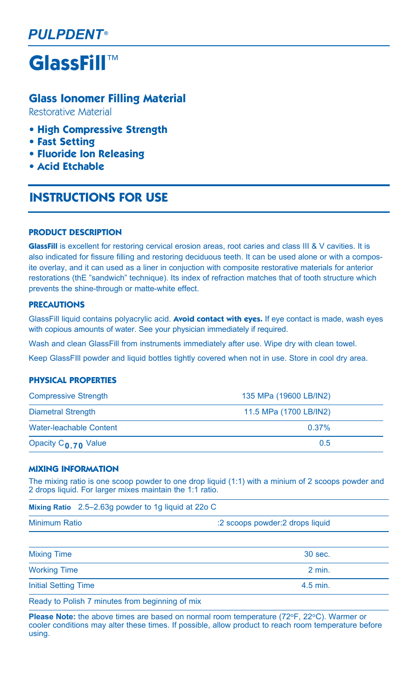**GlassFill**™

## **Glass Ionomer Filling Material**

Restorative Material

- **High Compressive Strength**
- **Fast Setting**
- **Fluoride Ion Releasing**
- **Acid Etchable**

# **Instructions For Use**

#### **Product Description**

**GlassFill** is excellent for restoring cervical erosion areas, root caries and class III & V cavities. It is also indicated for fissure filling and restoring deciduous teeth. It can be used alone or with a composite overlay, and it can used as a liner in conjuction with composite restorative materials for anterior restorations (the "sandwich" technique). Its index of refraction matches that of tooth structure which prevents the shine-through or matte-white effect.

## **Precautions**

GlassFill liquid contains polyacrylic acid. **Avoid contact with eyes.** If eye contact is made, wash eyes with copious amounts of water. See your physician immediately if required.

Wash and clean GlassFill from instruments immediately after use. Wipe dry with clean towel.

Keep GlassFIll powder and liquid bottles tightly covered when not in use. Store in cool dry area.

## **Physical Properties**

| <b>Compressive Strength</b> | 135 MPa (19600 LB/IN2) |  |
|-----------------------------|------------------------|--|
| Diametral Strength          | 11.5 MPa (1700 LB/IN2) |  |
| Water-leachable Content     | $0.37\%$               |  |
| Opacity $C_{0.70}$ Value    | 0.5                    |  |

#### **Mixing Information**

The mixing ratio is one scoop powder to one drop liquid (1:1) with a minium of 2 scoops powder and 2 drops liquid. For larger mixes maintain the 1:1 ratio.

|               | Mixing Ratio 2.5–2.63g powder to 1g liquid at 22o C |                                 |
|---------------|-----------------------------------------------------|---------------------------------|
| Minimum Ratio |                                                     | :2 scoops powder:2 drops liquid |

| The selection The Real Transformation for an interest and selection |                   |
|---------------------------------------------------------------------|-------------------|
| <b>Initial Setting Time</b>                                         | $4.5$ min.        |
| <b>Working Time</b>                                                 | $2 \text{ min}$ . |
| <b>Mixing Time</b>                                                  | 30 sec.           |
|                                                                     |                   |

Ready to Polish 7 minutes from beginning of mix

**Please Note:** the above times are based on normal room temperature (72°F, 22°C). Warmer or cooler conditions may alter these times. If possible, allow product to reach room temperature before using.